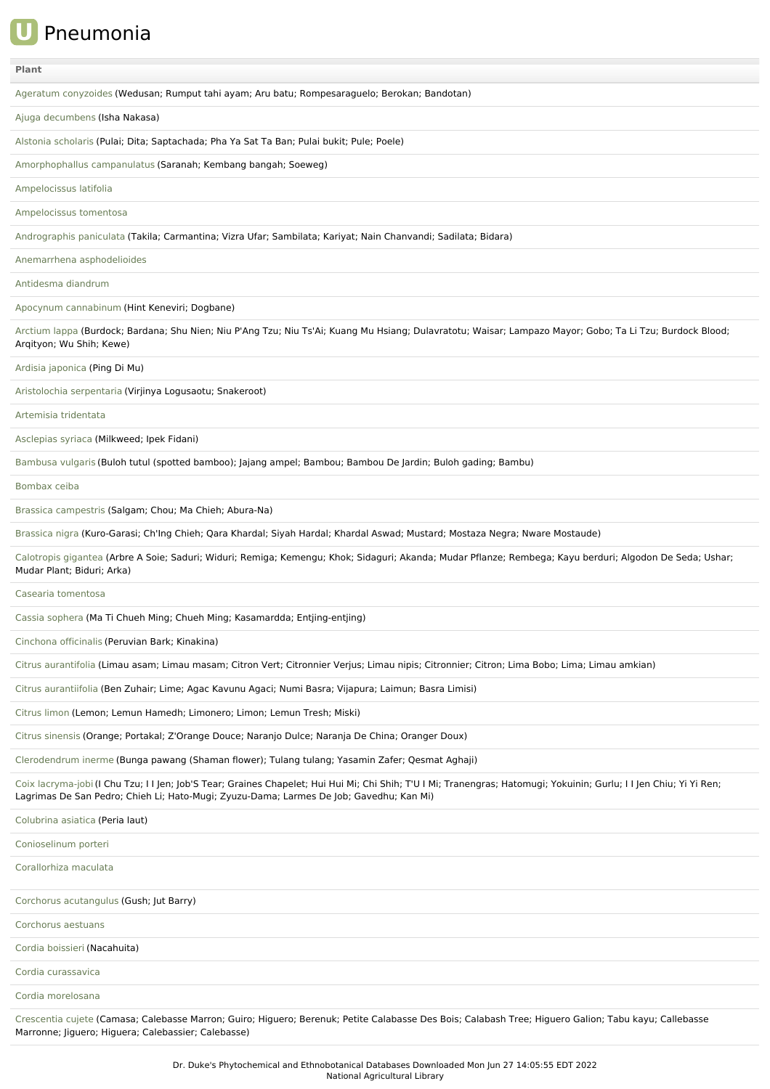**U** Pneumonia

| Plant                                                                                                                                                                                                                                                           |
|-----------------------------------------------------------------------------------------------------------------------------------------------------------------------------------------------------------------------------------------------------------------|
| Ageratum conyzoides (Wedusan; Rumput tahi ayam; Aru batu; Rompesaraguelo; Berokan; Bandotan)                                                                                                                                                                    |
| Ajuga decumbens (Isha Nakasa)                                                                                                                                                                                                                                   |
| Alstonia scholaris (Pulai; Dita; Saptachada; Pha Ya Sat Ta Ban; Pulai bukit; Pule; Poele)                                                                                                                                                                       |
| Amorphophallus campanulatus (Saranah; Kembang bangah; Soeweg)                                                                                                                                                                                                   |
| Ampelocissus latifolia                                                                                                                                                                                                                                          |
| Ampelocissus tomentosa                                                                                                                                                                                                                                          |
| Andrographis paniculata (Takila; Carmantina; Vizra Ufar; Sambilata; Kariyat; Nain Chanvandi; Sadilata; Bidara)                                                                                                                                                  |
| Anemarrhena asphodelioides                                                                                                                                                                                                                                      |
| Antidesma diandrum                                                                                                                                                                                                                                              |
| Apocynum cannabinum (Hint Keneviri; Dogbane)                                                                                                                                                                                                                    |
| Arctium lappa (Burdock; Bardana; Shu Nien; Niu P'Ang Tzu; Niu Ts'Ai; Kuang Mu Hsiang; Dulavratotu; Waisar; Lampazo Mayor; Gobo; Ta Li Tzu; Burdock Blood;<br>Argityon; Wu Shih; Kewe)                                                                           |
| Ardisia japonica (Ping Di Mu)                                                                                                                                                                                                                                   |
| Aristolochia serpentaria (Virjinya Logusaotu; Snakeroot)                                                                                                                                                                                                        |
| Artemisia tridentata                                                                                                                                                                                                                                            |
| Asclepias syriaca (Milkweed; Ipek Fidani)                                                                                                                                                                                                                       |
| Bambusa vulgaris (Buloh tutul (spotted bamboo); Jajang ampel; Bambou; Bambou De Jardin; Buloh gading; Bambu)                                                                                                                                                    |
| Bombax ceiba                                                                                                                                                                                                                                                    |
| Brassica campestris (Salgam; Chou; Ma Chieh; Abura-Na)                                                                                                                                                                                                          |
| Brassica nigra (Kuro-Garasi; Ch'Ing Chieh; Qara Khardal; Siyah Hardal; Khardal Aswad; Mustard; Mostaza Negra; Nware Mostaude)                                                                                                                                   |
| Calotropis gigantea (Arbre A Soie; Saduri; Widuri; Remiga; Kemengu; Khok; Sidaguri; Akanda; Mudar Pflanze; Rembega; Kayu berduri; Algodon De Seda; Ushar;<br>Mudar Plant; Biduri; Arka)                                                                         |
| Casearia tomentosa                                                                                                                                                                                                                                              |
| Cassia sophera (Ma Ti Chueh Ming; Chueh Ming; Kasamardda; Entjing-entjing)                                                                                                                                                                                      |
| Cinchona officinalis (Peruvian Bark; Kinakina)                                                                                                                                                                                                                  |
| Citrus aurantifolia (Limau asam; Limau masam; Citron Vert; Citronnier Verjus; Limau nipis; Citronnier; Citron; Lima Bobo; Lima; Limau amkian)                                                                                                                   |
| Citrus aurantiifolia (Ben Zuhair; Lime; Agac Kavunu Agaci; Numi Basra; Vijapura; Laimun; Basra Limisi)                                                                                                                                                          |
| Citrus limon (Lemon; Lemun Hamedh; Limonero; Limon; Lemun Tresh; Miski)                                                                                                                                                                                         |
| Citrus sinensis (Orange; Portakal; Z'Orange Douce; Naranjo Dulce; Naranja De China; Oranger Doux)                                                                                                                                                               |
| Clerodendrum inerme (Bunga pawang (Shaman flower); Tulang tulang; Yasamin Zafer; Qesmat Aghaji)                                                                                                                                                                 |
| Coix lacryma-jobi (I Chu Tzu; I I Jen; Job'S Tear; Graines Chapelet; Hui Hui Mi; Chi Shih; T'U I Mi; Tranengras; Hatomugi; Yokuinin; Gurlu; I I Jen Chiu; Yi Yi Ren;<br>Lagrimas De San Pedro; Chieh Li; Hato-Mugi; Zyuzu-Dama; Larmes De Job; Gavedhu; Kan Mi) |
| Colubrina asiatica (Peria laut)                                                                                                                                                                                                                                 |
| Conioselinum porteri                                                                                                                                                                                                                                            |
| Corallorhiza maculata                                                                                                                                                                                                                                           |
| Corchorus acutangulus (Gush; Jut Barry)                                                                                                                                                                                                                         |
| Corchorus aestuans                                                                                                                                                                                                                                              |
| Cordia boissieri (Nacahuita)                                                                                                                                                                                                                                    |
| Cordia curassavica                                                                                                                                                                                                                                              |
| Cordia morelosana                                                                                                                                                                                                                                               |
| Crescentia cujete (Camasa; Calebasse Marron; Guiro; Higuero; Berenuk; Petite Calabasse Des Bois; Calabash Tree; Higuero Galion; Tabu kayu; Callebasse<br>Marronne; Jiguero; Higuera; Calebassier; Calebasse)                                                    |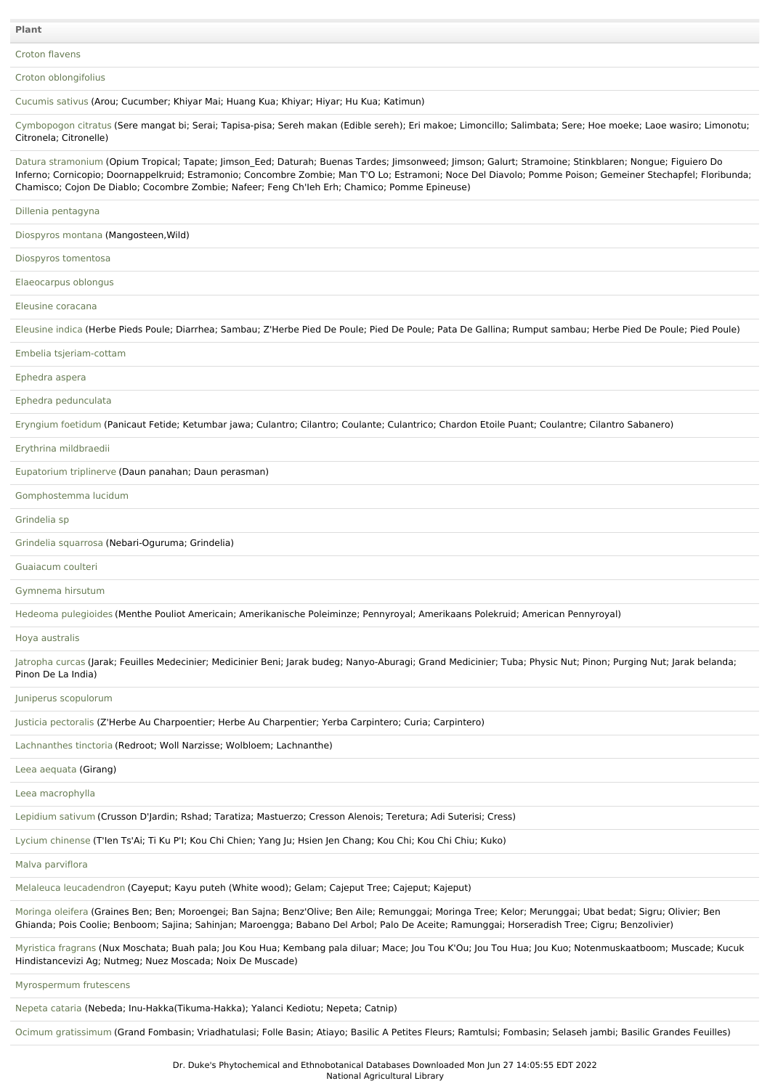Croton [flavens](file:///phytochem/ethnoPlants/show/494)

Croton [oblongifolius](file:///phytochem/ethnoPlants/show/624)

[Cucumis](file:///phytochem/ethnoPlants/show/4008) sativus (Arou; Cucumber; Khiyar Mai; Huang Kua; Khiyar; Hiyar; Hu Kua; Katimun)

[Cymbopogon](file:///phytochem/ethnoPlants/show/627) citratus (Sere mangat bi; Serai; Tapisa-pisa; Sereh makan (Edible sereh); Eri makoe; Limoncillo; Salimbata; Sere; Hoe moeke; Laoe wasiro; Limonotu; Citronela; Citronelle)

Datura [stramonium](file:///phytochem/ethnoPlants/show/497) (Opium Tropical; Tapate; Jimson\_Eed; Daturah; Buenas Tardes; Jimsonweed; Jimson; Galurt; Stramoine; Stinkblaren; Nongue; Figuiero Do Inferno; Cornicopio; Doornappelkruid; Estramonio; Concombre Zombie; Man T'O Lo; Estramoni; Noce Del Diavolo; Pomme Poison; Gemeiner Stechapfel; Floribunda; Chamisco; Cojon De Diablo; Cocombre Zombie; Nafeer; Feng Ch'Ieh Erh; Chamico; Pomme Epineuse)

### Dillenia [pentagyna](file:///phytochem/ethnoPlants/show/4505)

[Diospyros](file:///phytochem/ethnoPlants/show/2061) montana (Mangosteen,Wild)

### Diospyros [tomentosa](file:///phytochem/ethnoPlants/show/2365)

[Elaeocarpus](file:///phytochem/ethnoPlants/show/6365) oblongus

Eleusine [coracana](file:///phytochem/ethnoPlants/show/8035)

[Eleusine](file:///phytochem/ethnoPlants/show/1065) indica (Herbe Pieds Poule; Diarrhea; Sambau; Z'Herbe Pied De Poule; Pied De Poule; Pata De Gallina; Rumput sambau; Herbe Pied De Poule; Pied Poule)

Embelia [tsjeriam-cottam](file:///phytochem/ethnoPlants/show/4507)

## [Ephedra](file:///phytochem/ethnoPlants/show/8824) aspera

Ephedra [pedunculata](file:///phytochem/ethnoPlants/show/8825)

[Eryngium](file:///phytochem/ethnoPlants/show/1660) foetidum (Panicaut Fetide; Ketumbar jawa; Culantro; Cilantro; Coulante; Culantrico; Chardon Etoile Puant; Coulantre; Cilantro Sabanero)

Erythrina [mildbraedii](file:///phytochem/ethnoPlants/show/897)

[Eupatorium](file:///phytochem/ethnoPlants/show/3939) triplinerve (Daun panahan; Daun perasman)

[Gomphostemma](file:///phytochem/ethnoPlants/show/12361) lucidum

# [Grindelia](file:///phytochem/ethnoPlants/show/2811) sp

Grindelia [squarrosa](file:///phytochem/ethnoPlants/show/2049) (Nebari-Oguruma; Grindelia)

#### [Guaiacum](file:///phytochem/ethnoPlants/show/1279) coulteri

[Gymnema](file:///phytochem/ethnoPlants/show/3299) hirsutum

Hedeoma [pulegioides](file:///phytochem/ethnoPlants/show/188) (Menthe Pouliot Americain; Amerikanische Poleiminze; Pennyroyal; Amerikaans Polekruid; American Pennyroyal)

# Hoya [australis](file:///phytochem/ethnoPlants/show/5456)

[Jatropha](file:///phytochem/ethnoPlants/show/193) curcas (Jarak; Feuilles Medecinier; Medicinier Beni; Jarak budeg; Nanyo-Aburagi; Grand Medicinier; Tuba; Physic Nut; Pinon; Purging Nut; Jarak belanda; Pinon De La India)

# Juniperus [scopulorum](file:///phytochem/ethnoPlants/show/1704)

Justicia [pectoralis](file:///phytochem/ethnoPlants/show/934) (Z'Herbe Au Charpoentier; Herbe Au Charpentier; Yerba Carpintero; Curia; Carpintero)

[Lachnanthes](file:///phytochem/ethnoPlants/show/5389) tinctoria (Redroot; Woll Narzisse; Wolbloem; Lachnanthe)

# Leea [aequata](file:///phytochem/ethnoPlants/show/2291) (Girang)

Leea [macrophylla](file:///phytochem/ethnoPlants/show/1711)

[Lepidium](file:///phytochem/ethnoPlants/show/936) sativum (Crusson D'Jardin; Rshad; Taratiza; Mastuerzo; Cresson Alenois; Teretura; Adi Suterisi; Cress)

Lycium [chinense](file:///phytochem/ethnoPlants/show/2560) (T'Ien Ts'Ai; Ti Ku P'I; Kou Chi Chien; Yang Ju; Hsien Jen Chang; Kou Chi; Kou Chi Chiu; Kuko)

#### Malva [parviflora](file:///phytochem/ethnoPlants/show/713)

Melaleuca [leucadendron](file:///phytochem/ethnoPlants/show/546) (Cayeput; Kayu puteh (White wood); Gelam; Cajeput Tree; Cajeput; Kajeput)

[Moringa](file:///phytochem/ethnoPlants/show/206) oleifera (Graines Ben; Ben; Moroengei; Ban Sajna; Benz'Olive; Ben Aile; Remunggai; Moringa Tree; Kelor; Merunggai; Ubat bedat; Sigru; Olivier; Ben Ghianda; Pois Coolie; Benboom; Sajina; Sahinjan; Maroengga; Babano Del Arbol; Palo De Aceite; Ramunggai; Horseradish Tree; Cigru; Benzolivier)

[Myristica](file:///phytochem/ethnoPlants/show/207) fragrans (Nux Moschata; Buah pala; Jou Kou Hua; Kembang pala diluar; Mace; Jou Tou K'Ou; Jou Tou Hua; Jou Kuo; Notenmuskaatboom; Muscade; Kucuk Hindistancevizi Ag; Nutmeg; Nuez Moscada; Noix De Muscade)

# [Myrospermum](file:///phytochem/ethnoPlants/show/3289) frutescens

[Nepeta](file:///phytochem/ethnoPlants/show/730) cataria (Nebeda; Inu-Hakka(Tikuma-Hakka); Yalanci Kediotu; Nepeta; Catnip)

Ocimum [gratissimum](file:///phytochem/ethnoPlants/show/735) (Grand Fombasin; Vriadhatulasi; Folle Basin; Atiayo; Basilic A Petites Fleurs; Ramtulsi; Fombasin; Selaseh jambi; Basilic Grandes Feuilles)